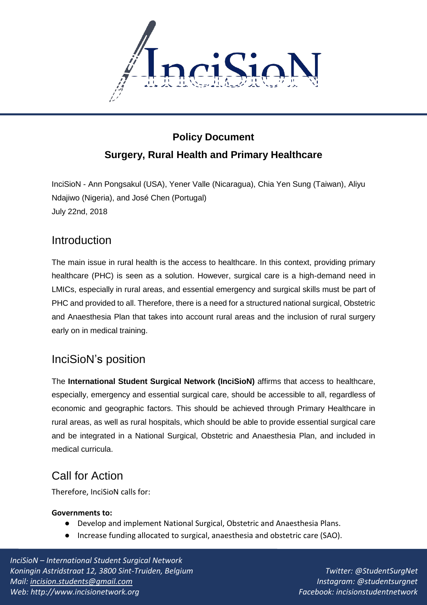

# **Policy Document Surgery, Rural Health and Primary Healthcare**

InciSioN - Ann Pongsakul (USA), Yener Valle (Nicaragua), Chia Yen Sung (Taiwan), Aliyu Ndajiwo (Nigeria), and José Chen (Portugal) July 22nd, 2018

## **Introduction**

The main issue in rural health is the access to healthcare. In this context, providing primary healthcare (PHC) is seen as a solution. However, surgical care is a high-demand need in LMICs, especially in rural areas, and essential emergency and surgical skills must be part of PHC and provided to all. Therefore, there is a need for a structured national surgical, Obstetric and Anaesthesia Plan that takes into account rural areas and the inclusion of rural surgery early on in medical training.

# InciSioN's position

The **International Student Surgical Network (InciSioN)** affirms that access to healthcare, especially, emergency and essential surgical care, should be accessible to all, regardless of economic and geographic factors. This should be achieved through Primary Healthcare in rural areas, as well as rural hospitals, which should be able to provide essential surgical care and be integrated in a National Surgical, Obstetric and Anaesthesia Plan, and included in medical curricula.

# Call for Action

Therefore, InciSioN calls for:

## **Governments to:**

- Develop and implement National Surgical, Obstetric and Anaesthesia Plans.
- Increase funding allocated to surgical, anaesthesia and obstetric care (SAO).

*InciSioN – International Student Surgical Network Koningin Astridstraat 12, 3800 Sint-Truiden, Belgium Mail: [incision.students@gmail.com](mailto:incision.students@gmail.com) Web: http://www.incisionetwork.org*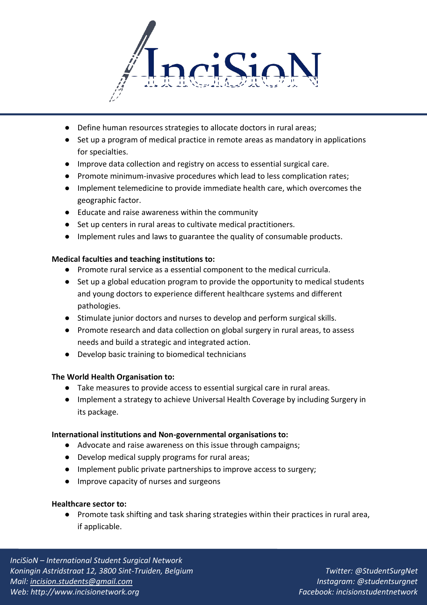

- Define human resources strategies to allocate doctors in rural areas;
- Set up a program of medical practice in remote areas as mandatory in applications for specialties.
- Improve data collection and registry on access to essential surgical care.
- Promote minimum-invasive procedures which lead to less complication rates;
- Implement telemedicine to provide immediate health care, which overcomes the geographic factor.
- Educate and raise awareness within the community
- Set up centers in rural areas to cultivate medical practitioners.
- Implement rules and laws to guarantee the quality of consumable products.

## **Medical faculties and teaching institutions to:**

- Promote rural service as a essential component to the medical curricula.
- Set up a global education program to provide the opportunity to medical students and young doctors to experience different healthcare systems and different pathologies.
- Stimulate junior doctors and nurses to develop and perform surgical skills.
- Promote research and data collection on global surgery in rural areas, to assess needs and build a strategic and integrated action.
- Develop basic training to biomedical technicians

## **The World Health Organisation to:**

- Take measures to provide access to essential surgical care in rural areas.
- Implement a strategy to achieve Universal Health Coverage by including Surgery in its package.

## **International institutions and Non-governmental organisations to:**

- Advocate and raise awareness on this issue through campaigns;
- Develop medical supply programs for rural areas;
- Implement public private partnerships to improve access to surgery;
- Improve capacity of nurses and surgeons

## **Healthcare sector to:**

● Promote task shifting and task sharing strategies within their practices in rural area, if applicable.

*InciSioN – International Student Surgical Network Koningin Astridstraat 12, 3800 Sint-Truiden, Belgium Mail: [incision.students@gmail.com](mailto:incision.students@gmail.com) Web: http://www.incisionetwork.org*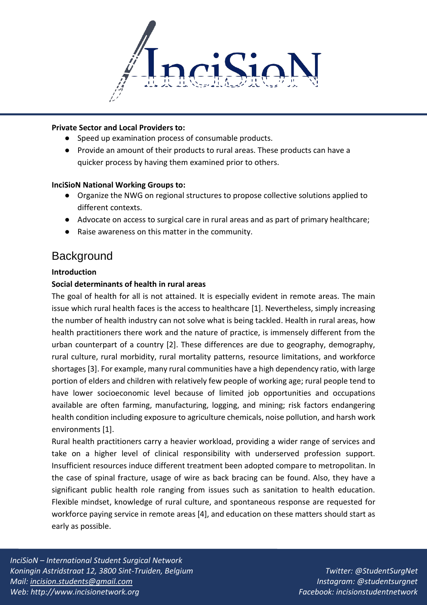

#### **Private Sector and Local Providers to:**

- Speed up examination process of consumable products.
- Provide an amount of their products to rural areas. These products can have a quicker process by having them examined prior to others.

#### **InciSioN National Working Groups to:**

- Organize the NWG on regional structures to propose collective solutions applied to different contexts.
- Advocate on access to surgical care in rural areas and as part of primary healthcare;
- Raise awareness on this matter in the community.

## **Background**

#### **Introduction**

#### **Social determinants of health in rural areas**

The goal of health for all is not attained. It is especially evident in remote areas. The main issue which rural health faces is the access to healthcare [1]. Nevertheless, simply increasing the number of health industry can not solve what is being tackled. Health in rural areas, how health practitioners there work and the nature of practice, is immensely different from the urban counterpart of a country [2]. These differences are due to geography, demography, rural culture, rural morbidity, rural mortality patterns, resource limitations, and workforce shortages [3]. For example, many rural communities have a high dependency ratio, with large portion of elders and children with relatively few people of working age; rural people tend to have lower socioeconomic level because of limited job opportunities and occupations available are often farming, manufacturing, logging, and mining; risk factors endangering health condition including exposure to agriculture chemicals, noise pollution, and harsh work environments [1].

Rural health practitioners carry a heavier workload, providing a wider range of services and take on a higher level of clinical responsibility with underserved profession support. Insufficient resources induce different treatment been adopted compare to metropolitan. In the case of spinal fracture, usage of wire as back bracing can be found. Also, they have a significant public health role ranging from issues such as sanitation to health education. Flexible mindset, knowledge of rural culture, and spontaneous response are requested for workforce paying service in remote areas [4], and education on these matters should start as early as possible.

*InciSioN – International Student Surgical Network Koningin Astridstraat 12, 3800 Sint-Truiden, Belgium Mail: [incision.students@gmail.com](mailto:incision.students@gmail.com) Web: http://www.incisionetwork.org*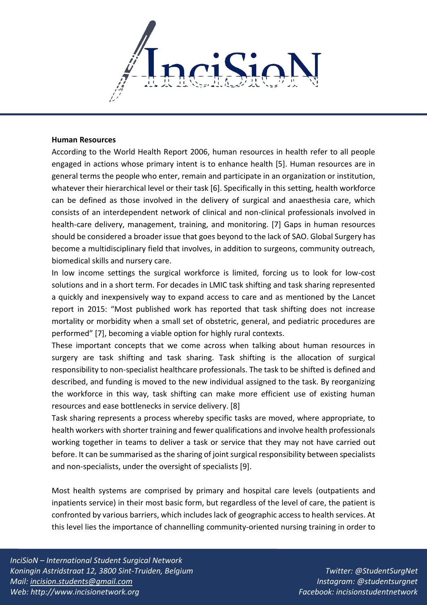

#### **Human Resources**

According to the World Health Report 2006, human resources in health refer to all people engaged in actions whose primary intent is to enhance health [5]. Human resources are in general terms the people who enter, remain and participate in an organization or institution, whatever their hierarchical level or their task [6]. Specifically in this setting, health workforce can be defined as those involved in the delivery of surgical and anaesthesia care, which consists of an interdependent network of clinical and non-clinical professionals involved in health-care delivery, management, training, and monitoring. [7] Gaps in human resources should be considered a broader issue that goes beyond to the lack of SAO. Global Surgery has become a multidisciplinary field that involves, in addition to surgeons, community outreach, biomedical skills and nursery care.

In low income settings the surgical workforce is limited, forcing us to look for low-cost solutions and in a short term. For decades in LMIC task shifting and task sharing represented a quickly and inexpensively way to expand access to care and as mentioned by the Lancet report in 2015: "Most published work has reported that task shifting does not increase mortality or morbidity when a small set of obstetric, general, and pediatric procedures are performed" [7], becoming a viable option for highly rural contexts.

These important concepts that we come across when talking about human resources in surgery are task shifting and task sharing. Task shifting is the allocation of surgical responsibility to non-specialist healthcare professionals. The task to be shifted is defined and described, and funding is moved to the new individual assigned to the task. By reorganizing the workforce in this way, task shifting can make more efficient use of existing human resources and ease bottlenecks in service delivery. [8]

Task sharing represents a process whereby specific tasks are moved, where appropriate, to health workers with shorter training and fewer qualifications and involve health professionals working together in teams to deliver a task or service that they may not have carried out before. It can be summarised as the sharing of joint surgical responsibility between specialists and non-specialists, under the oversight of specialists [9].

Most health systems are comprised by primary and hospital care levels (outpatients and inpatients service) in their most basic form, but regardless of the level of care, the patient is confronted by various barriers, which includes lack of geographic access to health services. At this level lies the importance of channelling community-oriented nursing training in order to

*InciSioN – International Student Surgical Network Koningin Astridstraat 12, 3800 Sint-Truiden, Belgium Mail: [incision.students@gmail.com](mailto:incision.students@gmail.com) Web: http://www.incisionetwork.org*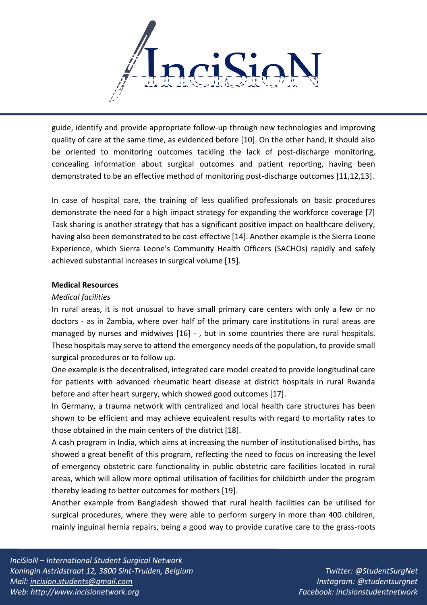

guide, identify and provide appropriate follow-up through new technologies and improving quality of care at the same time, as evidenced before [10]. On the other hand, it should also be oriented to monitoring outcomes tackling the lack of post-discharge monitoring, concealing information about surgical outcomes and patient reporting, having been demonstrated to be an effective method of monitoring post-discharge outcomes [11,12,13].

In case of hospital care, the training of less qualified professionals on basic procedures demonstrate the need for a high impact strategy for expanding the workforce coverage [7] Task sharing is another strategy that has a significant positive impact on healthcare delivery, having also been demonstrated to be cost-effective [14]. Another example is the Sierra Leone Experience, which Sierra Leone's Community Health Officers (SACHOs) rapidly and safely achieved substantial increases in surgical volume [15].

#### **Medical Resources**

#### *Medical facilities*

In rural areas, it is not unusual to have small primary care centers with only a few or no doctors - as in Zambia, where over half of the primary care institutions in rural areas are managed by nurses and midwives [16] - , but in some countries there are rural hospitals. These hospitals may serve to attend the emergency needs of the population, to provide small surgical procedures or to follow up.

One example is the decentralised, integrated care model created to provide longitudinal care for patients with advanced rheumatic heart disease at district hospitals in rural Rwanda before and after heart surgery, which showed good outcomes [17].

In Germany, a trauma network with centralized and local health care structures has been shown to be efficient and may achieve equivalent results with regard to mortality rates to those obtained in the main centers of the district [18].

A cash program in India, which aims at increasing the number of institutionalised births, has showed a great benefit of this program, reflecting the need to focus on increasing the level of emergency obstetric care functionality in public obstetric care facilities located in rural areas, which will allow more optimal utilisation of facilities for childbirth under the program thereby leading to better outcomes for mothers [19].

Another example from Bangladesh showed that rural health facilities can be utilised for surgical procedures, where they were able to perform surgery in more than 400 children, mainly inguinal hernia repairs, being a good way to provide curative care to the grass-roots

*InciSioN – International Student Surgical Network Koningin Astridstraat 12, 3800 Sint-Truiden, Belgium Mail: [incision.students@gmail.com](mailto:incision.students@gmail.com) Web: http://www.incisionetwork.org*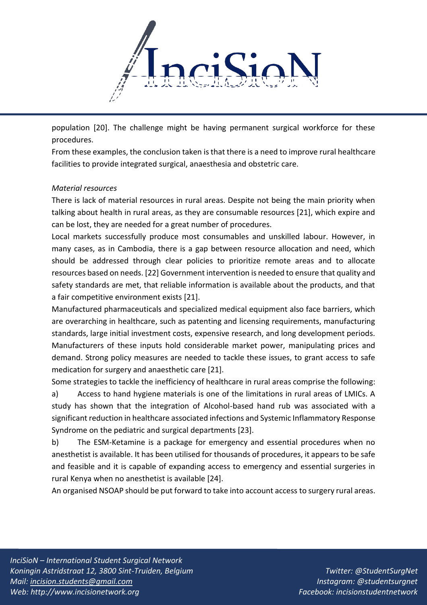

population [20]. The challenge might be having permanent surgical workforce for these procedures.

From these examples, the conclusion taken is that there is a need to improve rural healthcare facilities to provide integrated surgical, anaesthesia and obstetric care.

## *Material resources*

There is lack of material resources in rural areas. Despite not being the main priority when talking about health in rural areas, as they are consumable resources [21], which expire and can be lost, they are needed for a great number of procedures.

Local markets successfully produce most consumables and unskilled labour. However, in many cases, as in Cambodia, there is a gap between resource allocation and need, which should be addressed through clear policies to prioritize remote areas and to allocate resources based on needs. [22] Government intervention is needed to ensure that quality and safety standards are met, that reliable information is available about the products, and that a fair competitive environment exists [21].

Manufactured pharmaceuticals and specialized medical equipment also face barriers, which are overarching in healthcare, such as patenting and licensing requirements, manufacturing standards, large initial investment costs, expensive research, and long development periods. Manufacturers of these inputs hold considerable market power, manipulating prices and demand. Strong policy measures are needed to tackle these issues, to grant access to safe medication for surgery and anaesthetic care [21].

Some strategies to tackle the inefficiency of healthcare in rural areas comprise the following: a) Access to hand hygiene materials is one of the limitations in rural areas of LMICs. A study has shown that the integration of Alcohol-based hand rub was associated with a significant reduction in healthcare associated infections and Systemic Inflammatory Response Syndrome on the pediatric and surgical departments [23].

b) The ESM-Ketamine is a package for emergency and essential procedures when no anesthetist is available. It has been utilised for thousands of procedures, it appears to be safe and feasible and it is capable of expanding access to emergency and essential surgeries in rural Kenya when no anesthetist is available [24].

An organised NSOAP should be put forward to take into account access to surgery rural areas.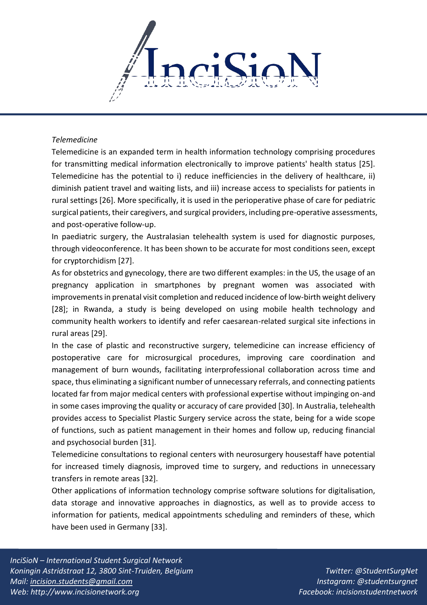

#### *Telemedicine*

Telemedicine is an expanded term in health information technology comprising procedures for transmitting medical information electronically to improve patients' health status [25]. Telemedicine has the potential to i) reduce inefficiencies in the delivery of healthcare, ii) diminish patient travel and waiting lists, and iii) increase access to specialists for patients in rural settings [26]. More specifically, it is used in the perioperative phase of care for pediatric surgical patients, their caregivers, and surgical providers, including pre-operative assessments, and post-operative follow-up.

In paediatric surgery, the Australasian telehealth system is used for diagnostic purposes, through videoconference. It has been shown to be accurate for most conditions seen, except for cryptorchidism [27].

As for obstetrics and gynecology, there are two different examples: in the US, the usage of an pregnancy application in smartphones by pregnant women was associated with improvements in prenatal visit completion and reduced incidence of low-birth weight delivery [28]; in Rwanda, a study is being developed on using mobile health technology and community health workers to identify and refer caesarean-related surgical site infections in rural areas [29].

In the case of plastic and reconstructive surgery, telemedicine can increase efficiency of postoperative care for microsurgical procedures, improving care coordination and management of burn wounds, facilitating interprofessional collaboration across time and space, thus eliminating a significant number of unnecessary referrals, and connecting patients located far from major medical centers with professional expertise without impinging on-and in some cases improving the quality or accuracy of care provided [30]. In Australia, telehealth provides access to Specialist Plastic Surgery service across the state, being for a wide scope of functions, such as patient management in their homes and follow up, reducing financial and psychosocial burden [31].

Telemedicine consultations to regional centers with neurosurgery housestaff have potential for increased timely diagnosis, improved time to surgery, and reductions in unnecessary transfers in remote areas [32].

Other applications of information technology comprise software solutions for digitalisation, data storage and innovative approaches in diagnostics, as well as to provide access to information for patients, medical appointments scheduling and reminders of these, which have been used in Germany [33].

*InciSioN – International Student Surgical Network Koningin Astridstraat 12, 3800 Sint-Truiden, Belgium Mail: [incision.students@gmail.com](mailto:incision.students@gmail.com) Web: http://www.incisionetwork.org*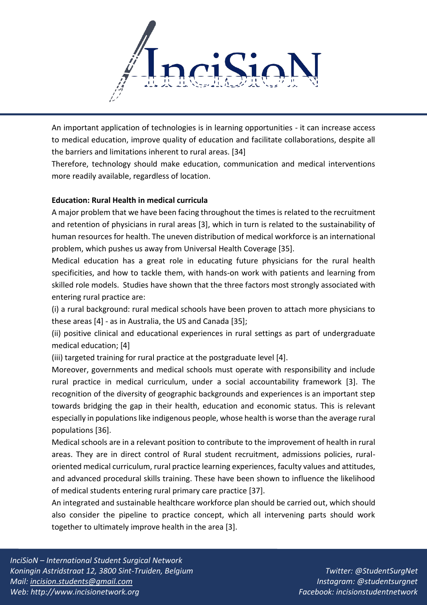

An important application of technologies is in learning opportunities - it can increase access to medical education, improve quality of education and facilitate collaborations, despite all the barriers and limitations inherent to rural areas. [34]

Therefore, technology should make education, communication and medical interventions more readily available, regardless of location.

## **Education: Rural Health in medical curricula**

A major problem that we have been facing throughout the times is related to the recruitment and retention of physicians in rural areas [3], which in turn is related to the sustainability of human resources for health. The uneven distribution of medical workforce is an international problem, which pushes us away from Universal Health Coverage [35].

Medical education has a great role in educating future physicians for the rural health specificities, and how to tackle them, with hands-on work with patients and learning from skilled role models. Studies have shown that the three factors most strongly associated with entering rural practice are:

(i) a rural background: rural medical schools have been proven to attach more physicians to these areas [4] - as in Australia, the US and Canada [35];

(ii) positive clinical and educational experiences in rural settings as part of undergraduate medical education; [4]

(iii) targeted training for rural practice at the postgraduate level [4].

Moreover, governments and medical schools must operate with responsibility and include rural practice in medical curriculum, under a social accountability framework [3]. The recognition of the diversity of geographic backgrounds and experiences is an important step towards bridging the gap in their health, education and economic status. This is relevant especially in populations like indigenous people, whose health is worse than the average rural populations [36].

Medical schools are in a relevant position to contribute to the improvement of health in rural areas. They are in direct control of Rural student recruitment, admissions policies, ruraloriented medical curriculum, rural practice learning experiences, faculty values and attitudes, and advanced procedural skills training. These have been shown to influence the likelihood of medical students entering rural primary care practice [37].

An integrated and sustainable healthcare workforce plan should be carried out, which should also consider the pipeline to practice concept, which all intervening parts should work together to ultimately improve health in the area [3].

*InciSioN – International Student Surgical Network Koningin Astridstraat 12, 3800 Sint-Truiden, Belgium Mail: [incision.students@gmail.com](mailto:incision.students@gmail.com) Web: http://www.incisionetwork.org*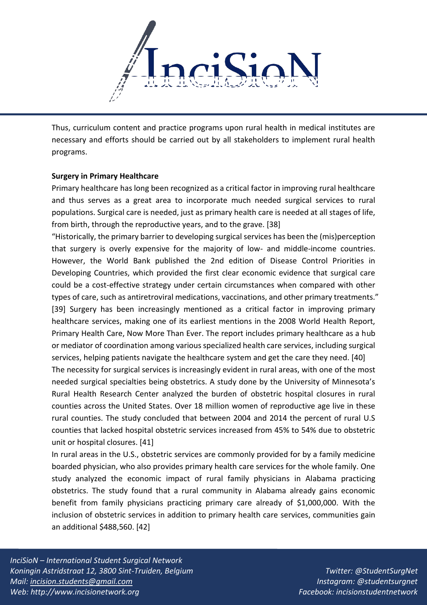

Thus, curriculum content and practice programs upon rural health in medical institutes are necessary and efforts should be carried out by all stakeholders to implement rural health programs.

#### **Surgery in Primary Healthcare**

Primary healthcare has long been recognized as a critical factor in improving rural healthcare and thus serves as a great area to incorporate much needed surgical services to rural populations. Surgical care is needed, just as primary health care is needed at all stages of life, from birth, through the reproductive years, and to the grave. [38]

"Historically, the primary barrier to developing surgical services has been the (mis)perception that surgery is overly expensive for the majority of low- and middle-income countries. However, the World Bank published the 2nd edition of Disease Control Priorities in Developing Countries, which provided the first clear economic evidence that surgical care could be a cost-effective strategy under certain circumstances when compared with other types of care, such as antiretroviral medications, vaccinations, and other primary treatments." [39] Surgery has been increasingly mentioned as a critical factor in improving primary healthcare services, making one of its earliest mentions in the 2008 World Health Report, Primary Health Care, Now More Than Ever. The report includes primary healthcare as a hub or mediator of coordination among various specialized health care services, including surgical services, helping patients navigate the healthcare system and get the care they need. [40]

The necessity for surgical services is increasingly evident in rural areas, with one of the most needed surgical specialties being obstetrics. A study done by the University of Minnesota's Rural Health Research Center analyzed the burden of obstetric hospital closures in rural counties across the United States. Over 18 million women of reproductive age live in these rural counties. The study concluded that between 2004 and 2014 the percent of rural U.S counties that lacked hospital obstetric services increased from 45% to 54% due to obstetric unit or hospital closures. [41]

In rural areas in the U.S., obstetric services are commonly provided for by a family medicine boarded physician, who also provides primary health care services for the whole family. One study analyzed the economic impact of rural family physicians in Alabama practicing obstetrics. The study found that a rural community in Alabama already gains economic benefit from family physicians practicing primary care already of \$1,000,000. With the inclusion of obstetric services in addition to primary health care services, communities gain an additional \$488,560. [42]

*InciSioN – International Student Surgical Network Koningin Astridstraat 12, 3800 Sint-Truiden, Belgium Mail: [incision.students@gmail.com](mailto:incision.students@gmail.com) Web: http://www.incisionetwork.org*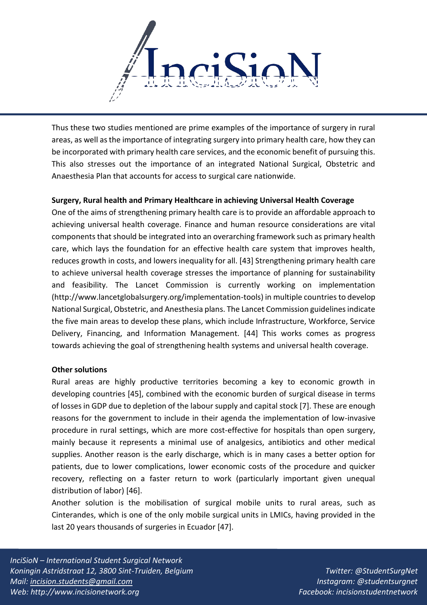

Thus these two studies mentioned are prime examples of the importance of surgery in rural areas, as well as the importance of integrating surgery into primary health care, how they can be incorporated with primary health care services, and the economic benefit of pursuing this. This also stresses out the importance of an integrated National Surgical, Obstetric and Anaesthesia Plan that accounts for access to surgical care nationwide.

## **Surgery, Rural health and Primary Healthcare in achieving Universal Health Coverage**

One of the aims of strengthening primary health care is to provide an affordable approach to achieving universal health coverage. Finance and human resource considerations are vital components that should be integrated into an overarching framework such as primary health care, which lays the foundation for an effective health care system that improves health, reduces growth in costs, and lowers inequality for all. [43] Strengthening primary health care to achieve universal health coverage stresses the importance of planning for sustainability and feasibility. The Lancet Commission is currently working on implementation (http://www.lancetglobalsurgery.org/implementation-tools) in multiple countries to develop National Surgical, Obstetric, and Anesthesia plans. The Lancet Commission guidelines indicate the five main areas to develop these plans, which include Infrastructure, Workforce, Service Delivery, Financing, and Information Management. [44] This works comes as progress towards achieving the goal of strengthening health systems and universal health coverage.

#### **Other solutions**

Rural areas are highly productive territories becoming a key to economic growth in developing countries [45], combined with the economic burden of surgical disease in terms of losses in GDP due to depletion of the labour supply and capital stock [7]. These are enough reasons for the government to include in their agenda the implementation of low-invasive procedure in rural settings, which are more cost-effective for hospitals than open surgery, mainly because it represents a minimal use of analgesics, antibiotics and other medical supplies. Another reason is the early discharge, which is in many cases a better option for patients, due to lower complications, lower economic costs of the procedure and quicker recovery, reflecting on a faster return to work (particularly important given unequal distribution of labor) [46].

Another solution is the mobilisation of surgical mobile units to rural areas, such as Cinterandes, which is one of the only mobile surgical units in LMICs, having provided in the last 20 years thousands of surgeries in Ecuador [47].

*InciSioN – International Student Surgical Network Koningin Astridstraat 12, 3800 Sint-Truiden, Belgium Mail: [incision.students@gmail.com](mailto:incision.students@gmail.com) Web: http://www.incisionetwork.org*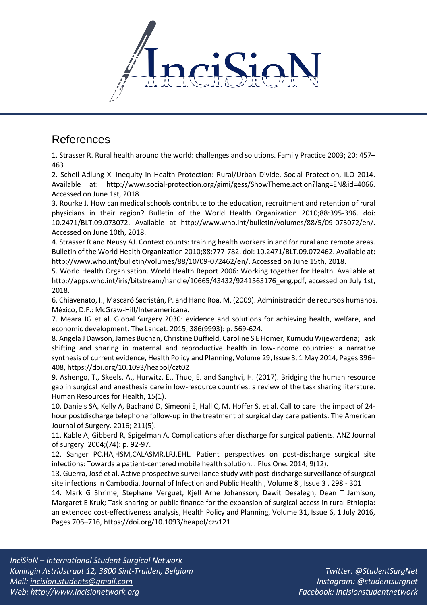

## References

1. Strasser R. Rural health around the world: challenges and solutions. Family Practice 2003; 20: 457– 463

2. Scheil-Adlung X. Inequity in Health Protection: Rural/Urban Divide. Social Protection, ILO 2014. Available at: http://www.social-protection.org/gimi/gess/ShowTheme.action?lang=EN&id=4066. Accessed on June 1st, 2018.

3. Rourke J. How can medical schools contribute to the education, recruitment and retention of rural physicians in their region? Bulletin of the World Health Organization 2010;88:395-396. doi: 10.2471/BLT.09.073072. Available at http://www.who.int/bulletin/volumes/88/5/09-073072/en/. Accessed on June 10th, 2018.

4. Strasser R and Neusy AJ. Context counts: training health workers in and for rural and remote areas. Bulletin of the World Health Organization 2010;88:777-782. doi: 10.2471/BLT.09.072462. Available at: http://www.who.int/bulletin/volumes/88/10/09-072462/en/. Accessed on June 15th, 2018.

5. World Health Organisation. World Health Report 2006: Working together for Health. Available at http://apps.who.int/iris/bitstream/handle/10665/43432/9241563176\_eng.pdf, accessed on July 1st, 2018.

6. Chiavenato, I., Mascaró Sacristán, P. and Hano Roa, M. (2009). Administración de recursos humanos. México, D.F.: McGraw-Hill/Interamericana.

7. Meara JG et al. Global Surgery 2030: evidence and solutions for achieving health, welfare, and economic development. The Lancet. 2015; 386(9993): p. 569-624.

8. Angela J Dawson, James Buchan, Christine Duffield, Caroline S E Homer, Kumudu Wijewardena; Task shifting and sharing in maternal and reproductive health in low-income countries: a narrative synthesis of current evidence, Health Policy and Planning, Volume 29, Issue 3, 1 May 2014, Pages 396– 408, https://doi.org/10.1093/heapol/czt02

9. Ashengo, T., Skeels, A., Hurwitz, E., Thuo, E. and Sanghvi, H. (2017). Bridging the human resource gap in surgical and anesthesia care in low-resource countries: a review of the task sharing literature. Human Resources for Health, 15(1).

10. Daniels SA, Kelly A, Bachand D, Simeoni E, Hall C, M. Hoffer S, et al. Call to care: the impact of 24 hour postdischarge telephone follow-up in the treatment of surgical day care patients. The American Journal of Surgery. 2016; 211(5).

11. Kable A, Gibberd R, Spigelman A. Complications after discharge for surgical patients. ANZ Journal of surgery. 2004;(74): p. 92-97.

12. Sanger PC,HA,HSM,CALASMR,LRJ.EHL. Patient perspectives on post-discharge surgical site infections: Towards a patient-centered mobile health solution. . Plus One. 2014; 9(12).

13. Guerra, José et al. Active prospective surveillance study with post-discharge surveillance of surgical site infections in Cambodia. Journal of Infection and Public Health , Volume 8 , Issue 3 , 298 - 301

14. Mark G Shrime, Stéphane Verguet, Kjell Arne Johansson, Dawit Desalegn, Dean T Jamison, Margaret E Kruk; Task-sharing or public finance for the expansion of surgical access in rural Ethiopia: an extended cost-effectiveness analysis, Health Policy and Planning, Volume 31, Issue 6, 1 July 2016, Pages 706–716, https://doi.org/10.1093/heapol/czv121

*InciSioN – International Student Surgical Network Koningin Astridstraat 12, 3800 Sint-Truiden, Belgium Mail: [incision.students@gmail.com](mailto:incision.students@gmail.com) Web: http://www.incisionetwork.org*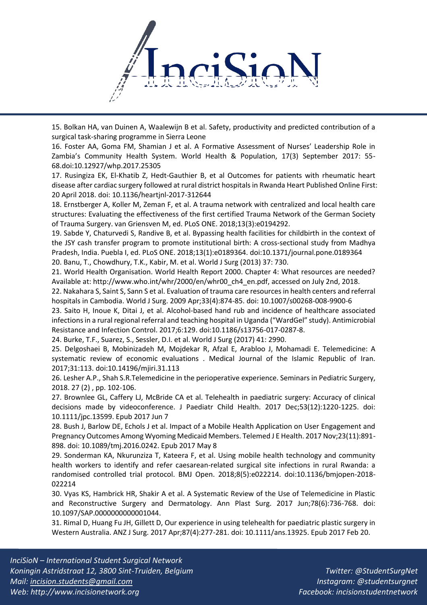

15. Bolkan HA, van Duinen A, Waalewijn B et al. Safety, productivity and predicted contribution of a surgical task-sharing programme in Sierra Leone

16. Foster AA, Goma FM, Shamian J et al. A Formative Assessment of Nurses' Leadership Role in Zambia's Community Health System. World Health & Population, 17(3) September 2017: 55- 68.doi:10.12927/whp.2017.25305

17. Rusingiza EK, El-Khatib Z, Hedt-Gauthier B, et al Outcomes for patients with rheumatic heart disease after cardiac surgery followed at rural district hospitals in Rwanda Heart Published Online First: 20 April 2018. doi: 10.1136/heartjnl-2017-312644

18. Ernstberger A, Koller M, Zeman F, et al. A trauma network with centralized and local health care structures: Evaluating the effectiveness of the first certified Trauma Network of the German Society of Trauma Surgery. van Griensven M, ed. PLoS ONE. 2018;13(3):e0194292.

19. Sabde Y, Chaturvedi S, Randive B, et al. Bypassing health facilities for childbirth in the context of the JSY cash transfer program to promote institutional birth: A cross-sectional study from Madhya Pradesh, India. Puebla I, ed. PLoS ONE. 2018;13(1):e0189364. doi:10.1371/journal.pone.0189364 20. Banu, T., Chowdhury, T.K., Kabir, M. et al. World J Surg (2013) 37: 730.

21. World Health Organisation. World Health Report 2000. Chapter 4: What resources are needed? Available at: http://www.who.int/whr/2000/en/whr00\_ch4\_en.pdf, accessed on July 2nd, 2018.

22. Nakahara S, Saint S, Sann S et al. Evaluation of trauma care resources in health centers and referral hospitals in Cambodia. World J Surg. 2009 Apr;33(4):874-85. doi: 10.1007/s00268-008-9900-6

23. Saito H, Inoue K, Ditai J, et al. Alcohol-based hand rub and incidence of healthcare associated infections in a rural regional referral and teaching hospital in Uganda ("WardGel" study). Antimicrobial Resistance and Infection Control. 2017;6:129. doi:10.1186/s13756-017-0287-8.

24. Burke, T.F., Suarez, S., Sessler, D.I. et al. World J Surg (2017) 41: 2990.

25. Delgoshaei B, Mobinizadeh M, Mojdekar R, Afzal E, Arabloo J, Mohamadi E. Telemedicine: A systematic review of economic evaluations . Medical Journal of the Islamic Republic of Iran. 2017;31:113. doi:10.14196/mjiri.31.113

26. Lesher A.P., Shah S.R.Telemedicine in the perioperative experience. Seminars in Pediatric Surgery, 2018. 27 (2) , pp. 102-106.

27. Brownlee GL, Caffery LJ, McBride CA et al. Telehealth in paediatric surgery: Accuracy of clinical decisions made by videoconference. J Paediatr Child Health. 2017 Dec;53(12):1220-1225. doi: 10.1111/jpc.13599. Epub 2017 Jun 7

28. Bush J, Barlow DE, Echols J et al. Impact of a Mobile Health Application on User Engagement and Pregnancy Outcomes Among Wyoming Medicaid Members. Telemed J E Health. 2017 Nov;23(11):891- 898. doi: 10.1089/tmj.2016.0242. Epub 2017 May 8

29. Sonderman KA, Nkurunziza T, Kateera F, et al. Using mobile health technology and community health workers to identify and refer caesarean-related surgical site infections in rural Rwanda: a randomised controlled trial protocol. BMJ Open. 2018;8(5):e022214. doi:10.1136/bmjopen-2018- 022214

30. Vyas KS, Hambrick HR, Shakir A et al. A Systematic Review of the Use of Telemedicine in Plastic and Reconstructive Surgery and Dermatology. Ann Plast Surg. 2017 Jun;78(6):736-768. doi: 10.1097/SAP.0000000000001044.

31. Rimal D, Huang Fu JH, Gillett D, Our experience in using telehealth for paediatric plastic surgery in Western Australia. ANZ J Surg. 2017 Apr;87(4):277-281. doi: 10.1111/ans.13925. Epub 2017 Feb 20.

*InciSioN – International Student Surgical Network Koningin Astridstraat 12, 3800 Sint-Truiden, Belgium Mail: [incision.students@gmail.com](mailto:incision.students@gmail.com) Web: http://www.incisionetwork.org*